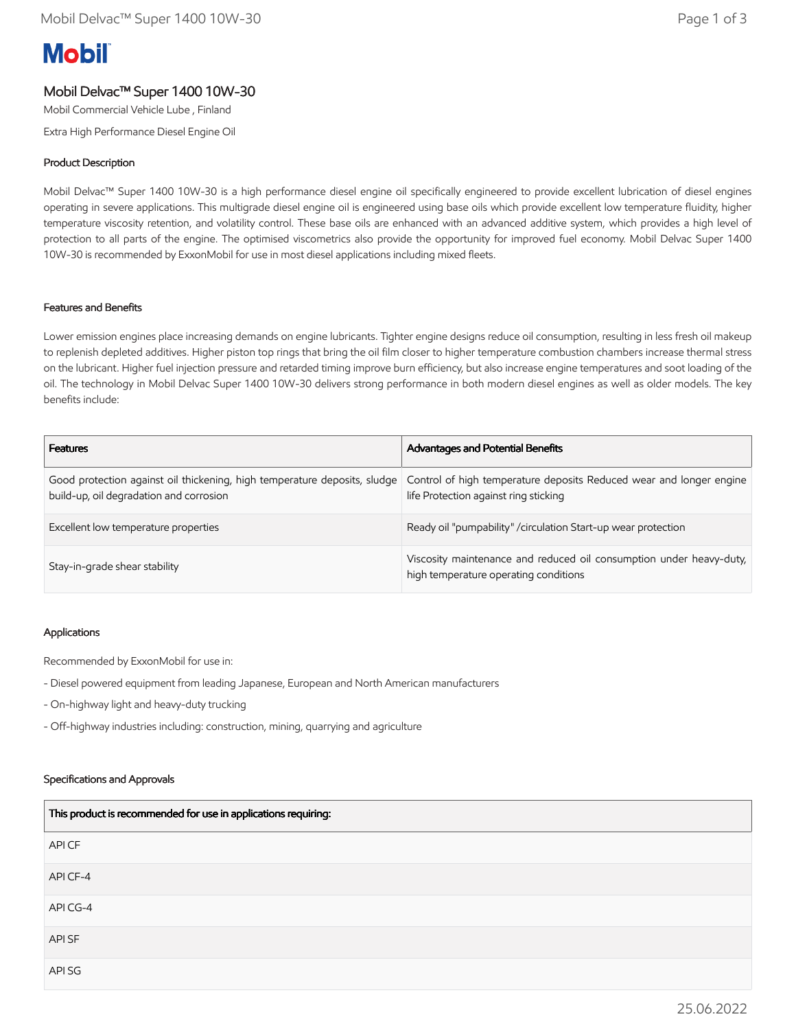# **Mobil**

## Mobil Delvac™ Super 1400 10W-30

Mobil Commercial Vehicle Lube , Finland

Extra High Performance Diesel Engine Oil

### Product Description

Mobil Delvac™ Super 1400 10W-30 is a high performance diesel engine oil specifically engineered to provide excellent lubrication of diesel engines operating in severe applications. This multigrade diesel engine oil is engineered using base oils which provide excellent low temperature fluidity, higher temperature viscosity retention, and volatility control. These base oils are enhanced with an advanced additive system, which provides a high level of protection to all parts of the engine. The optimised viscometrics also provide the opportunity for improved fuel economy. Mobil Delvac Super 1400 10W-30 is recommended by ExxonMobil for use in most diesel applications including mixed fleets.

#### Features and Benefits

Lower emission engines place increasing demands on engine lubricants. Tighter engine designs reduce oil consumption, resulting in less fresh oil makeup to replenish depleted additives. Higher piston top rings that bring the oil film closer to higher temperature combustion chambers increase thermal stress on the lubricant. Higher fuel injection pressure and retarded timing improve burn efficiency, but also increase engine temperatures and soot loading of the oil. The technology in Mobil Delvac Super 1400 10W-30 delivers strong performance in both modern diesel engines as well as older models. The key benefits include:

| <b>Features</b>                                                                                                      | Advantages and Potential Benefits                                                                            |
|----------------------------------------------------------------------------------------------------------------------|--------------------------------------------------------------------------------------------------------------|
| Good protection against oil thickening, high temperature deposits, sludge<br>build-up, oil degradation and corrosion | Control of high temperature deposits Reduced wear and longer engine<br>life Protection against ring sticking |
| Excellent low temperature properties                                                                                 | Ready oil "pumpability" / circulation Start-up wear protection                                               |
| Stay-in-grade shear stability                                                                                        | Viscosity maintenance and reduced oil consumption under heavy-duty,<br>high temperature operating conditions |

#### Applications

Recommended by ExxonMobil for use in:

- Diesel powered equipment from leading Japanese, European and North American manufacturers
- On-highway light and heavy-duty trucking
- Off-highway industries including: construction, mining, quarrying and agriculture

#### Specifications and Approvals

| This product is recommended for use in applications requiring: |
|----------------------------------------------------------------|
| API CF                                                         |
| API CF-4                                                       |
| API CG-4                                                       |
| API SF                                                         |
| API SG                                                         |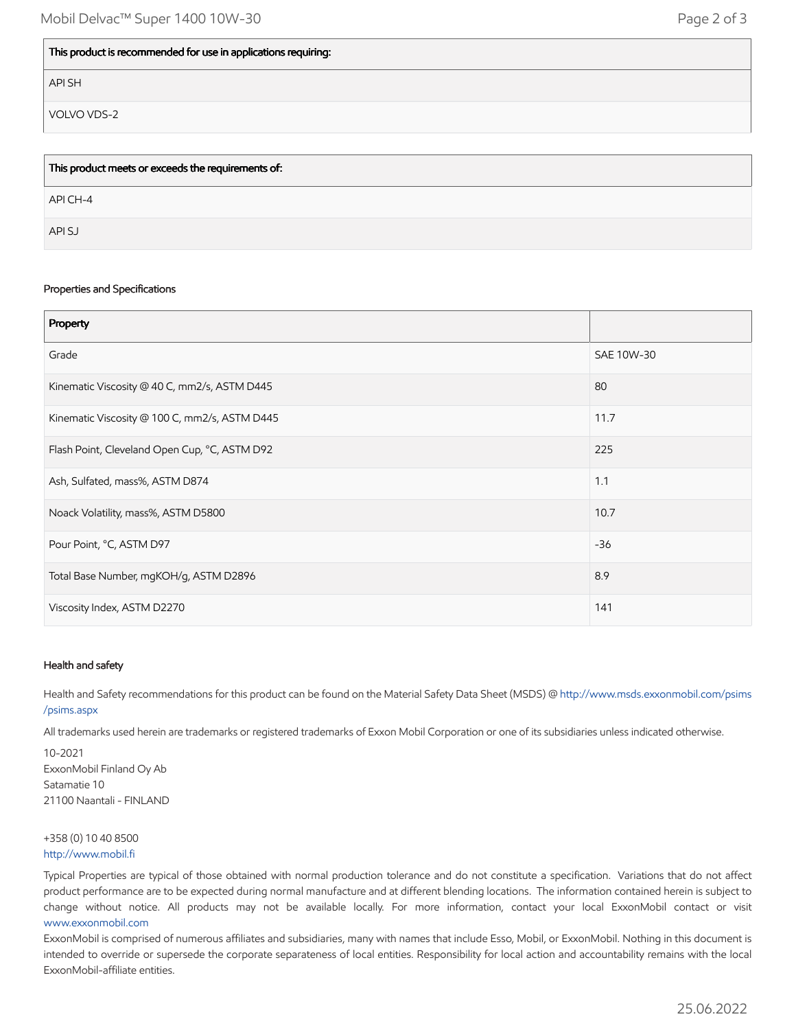#### This product is recommended for use in applications requiring:

API SH

VOLVO VDS-2

| This product meets or exceeds the requirements of: |
|----------------------------------------------------|
| API CH-4                                           |
| API SJ                                             |

#### Properties and Specifications

| Property                                      |            |
|-----------------------------------------------|------------|
| Grade                                         | SAE 10W-30 |
| Kinematic Viscosity @ 40 C, mm2/s, ASTM D445  | 80         |
| Kinematic Viscosity @ 100 C, mm2/s, ASTM D445 | 11.7       |
| Flash Point, Cleveland Open Cup, °C, ASTM D92 | 225        |
| Ash, Sulfated, mass%, ASTM D874               | 1.1        |
| Noack Volatility, mass%, ASTM D5800           | 10.7       |
| Pour Point, °C, ASTM D97                      | $-36$      |
| Total Base Number, mgKOH/g, ASTM D2896        | 8.9        |
| Viscosity Index, ASTM D2270                   | 141        |

#### Health and safety

Health and Safety recommendations for this product can be found on the Material Safety Data Sheet (MSDS) @ [http://www.msds.exxonmobil.com/psims](http://www.msds.exxonmobil.com/psims/psims.aspx) /psims.aspx

All trademarks used herein are trademarks or registered trademarks of Exxon Mobil Corporation or one of its subsidiaries unless indicated otherwise.

10-2021 ExxonMobil Finland Oy Ab Satamatie 10 21100 Naantali - FINLAND

#### +358 (0) 10 40 8500 [http://www.mobil.fi](http://www.mobil.fi/)

Typical Properties are typical of those obtained with normal production tolerance and do not constitute a specification. Variations that do not affect product performance are to be expected during normal manufacture and at different blending locations. The information contained herein is subject to change without notice. All products may not be available locally. For more information, contact your local ExxonMobil contact or visit [www.exxonmobil.com](http://www.exxonmobil.com/)

ExxonMobil is comprised of numerous affiliates and subsidiaries, many with names that include Esso, Mobil, or ExxonMobil. Nothing in this document is intended to override or supersede the corporate separateness of local entities. Responsibility for local action and accountability remains with the local ExxonMobil-affiliate entities.